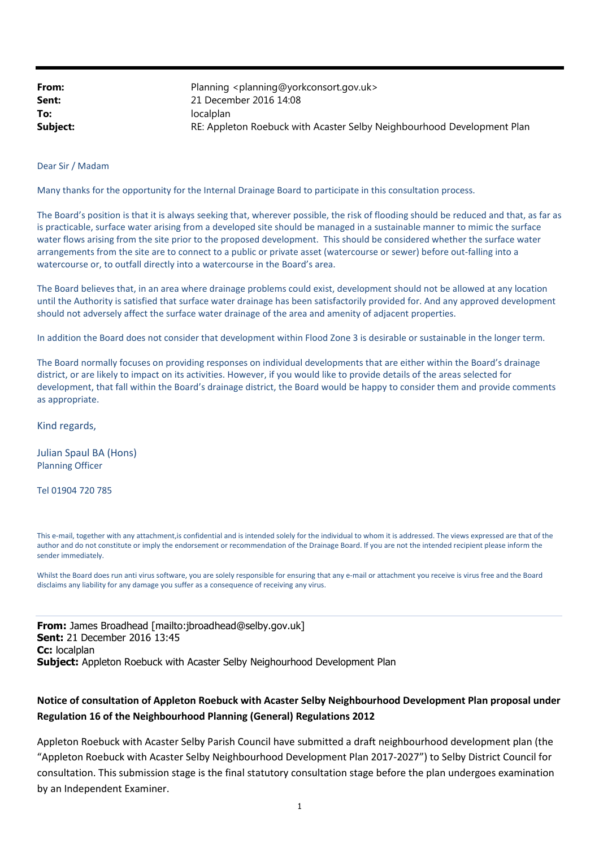| From:    | Planning <planning@yorkconsort.gov.uk></planning@yorkconsort.gov.uk>   |
|----------|------------------------------------------------------------------------|
| Sent:    | 21 December 2016 14:08                                                 |
| To:      | localplan                                                              |
| Subject: | RE: Appleton Roebuck with Acaster Selby Neighbourhood Development Plan |

Dear Sir / Madam

Many thanks for the opportunity for the Internal Drainage Board to participate in this consultation process.

The Board's position is that it is always seeking that, wherever possible, the risk of flooding should be reduced and that, as far as is practicable, surface water arising from a developed site should be managed in a sustainable manner to mimic the surface water flows arising from the site prior to the proposed development. This should be considered whether the surface water arrangements from the site are to connect to a public or private asset (watercourse or sewer) before out-falling into a watercourse or, to outfall directly into a watercourse in the Board's area.

The Board believes that, in an area where drainage problems could exist, development should not be allowed at any location until the Authority is satisfied that surface water drainage has been satisfactorily provided for. And any approved development should not adversely affect the surface water drainage of the area and amenity of adjacent properties.

In addition the Board does not consider that development within Flood Zone 3 is desirable or sustainable in the longer term.

The Board normally focuses on providing responses on individual developments that are either within the Board's drainage district, or are likely to impact on its activities. However, if you would like to provide details of the areas selected for development, that fall within the Board's drainage district, the Board would be happy to consider them and provide comments as appropriate.

Kind regards,

Julian Spaul BA (Hons) Planning Officer

Tel 01904 720 785

This e-mail, together with any attachment,is confidential and is intended solely for the individual to whom it is addressed. The views expressed are that of the author and do not constitute or imply the endorsement or recommendation of the Drainage Board. If you are not the intended recipient please inform the sender immediately.

Whilst the Board does run anti virus software, you are solely responsible for ensuring that any e-mail or attachment you receive is virus free and the Board disclaims any liability for any damage you suffer as a consequence of receiving any virus.

From: James Broadhead [mailto:jbroadhead@selby.gov.uk] Sent: 21 December 2016 13:45 Cc: localplan Subject: Appleton Roebuck with Acaster Selby Neighourhood Development Plan

## Notice of consultation of Appleton Roebuck with Acaster Selby Neighbourhood Development Plan proposal under Regulation 16 of the Neighbourhood Planning (General) Regulations 2012

Appleton Roebuck with Acaster Selby Parish Council have submitted a draft neighbourhood development plan (the "Appleton Roebuck with Acaster Selby Neighbourhood Development Plan 2017-2027") to Selby District Council for consultation. This submission stage is the final statutory consultation stage before the plan undergoes examination by an Independent Examiner.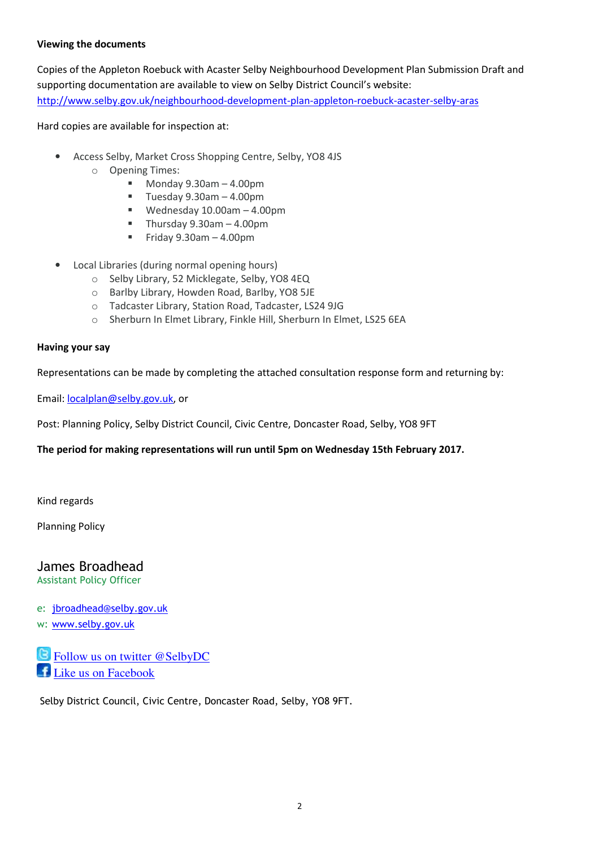## Viewing the documents

Copies of the Appleton Roebuck with Acaster Selby Neighbourhood Development Plan Submission Draft and supporting documentation are available to view on Selby District Council's website: http://www.selby.gov.uk/neighbourhood-development-plan-appleton-roebuck-acaster-selby-aras

Hard copies are available for inspection at:

- Access Selby, Market Cross Shopping Centre, Selby, YO8 4JS
	- o Opening Times:
		- $Monday 9.30am 4.00pm$
		- $\blacksquare$  Tuesday 9.30am 4.00pm
		- Wednesday 10.00am 4.00pm
		- Thursday  $9.30$ am  $-4.00$ pm
		- Friday  $9.30$ am  $-4.00$ pm
- Local Libraries (during normal opening hours)
	- o Selby Library, 52 Micklegate, Selby, YO8 4EQ
	- o Barlby Library, Howden Road, Barlby, YO8 5JE
	- o Tadcaster Library, Station Road, Tadcaster, LS24 9JG
	- o Sherburn In Elmet Library, Finkle Hill, Sherburn In Elmet, LS25 6EA

## Having your say

Representations can be made by completing the attached consultation response form and returning by:

Email: localplan@selby.gov.uk, or

Post: Planning Policy, Selby District Council, Civic Centre, Doncaster Road, Selby, YO8 9FT

## The period for making representations will run until 5pm on Wednesday 15th February 2017.

Kind regards

Planning Policy

James Broadhead Assistant Policy Officer

e: jbroadhead@selby.gov.uk

w: www.selby.gov.uk

l,

Follow us on twitter @SelbyDC Like us on Facebook

Selby District Council, Civic Centre, Doncaster Road, Selby, YO8 9FT.